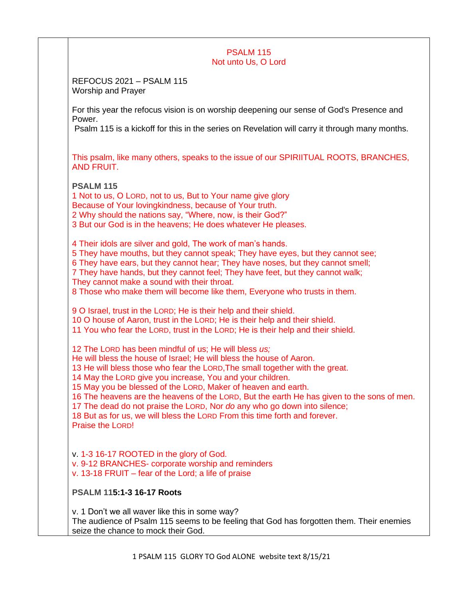## **PSALM 115** Not unto Us, O Lord

REFOCUS 2021 – PSALM 115 Worship and Prayer

For this year the refocus vision is on worship deepening our sense of God's Presence and Power.

Psalm 115 is a kickoff for this in the series on Revelation will carry it through many months.

This psalm, like many others, speaks to the issue of our SPIRIITUAL ROOTS, BRANCHES, AND FRUIT.

**PSALM 115**

1 Not to us, O LORD, not to us, But to Your name give glory Because of Your lovingkindness, because of Your truth. 2 Why should the nations say, "Where, now, is their God?" 3 But our God is in the heavens; He does whatever He pleases. 4 Their idols are silver and gold, The work of man's hands. 5 They have mouths, but they cannot speak; They have eyes, but they cannot see; 6 They have ears, but they cannot hear; They have noses, but they cannot smell; 7 They have hands, but they cannot feel; They have feet, but they cannot walk; They cannot make a sound with their throat. 8 Those who make them will become like them, Everyone who trusts in them. 9 O Israel, trust in the LORD; He is their help and their shield. 10 O house of Aaron, trust in the LORD; He is their help and their shield. 11 You who fear the LORD, trust in the LORD; He is their help and their shield. 12 The LORD has been mindful of us; He will bless *us;* He will bless the house of Israel; He will bless the house of Aaron. 13 He will bless those who fear the LORD,The small together with the great. 14 May the LORD give you increase, You and your children. 15 May you be blessed of the LORD, Maker of heaven and earth. 16 The heavens are the heavens of the LORD, But the earth He has given to the sons of men. 17 The dead do not praise the LORD, Nor *do* any who go down into silence; 18 But as for us, we will bless the LORD From this time forth and forever. Praise the LORD! v. 1-3 16-17 ROOTED in the glory of God. v. 9-12 BRANCHES- corporate worship and reminders v. 13-18 FRUIT – fear of the Lord; a life of praise **PSALM 115:1-3 16-17 Roots**

v. 1 Don't we all waver like this in some way? The audience of Psalm 115 seems to be feeling that God has forgotten them. Their enemies seize the chance to mock their God.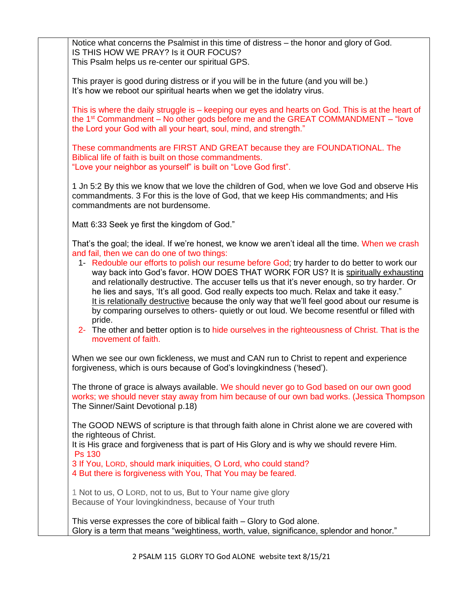Notice what concerns the Psalmist in this time of distress – the honor and glory of God. IS THIS HOW WE PRAY? Is it OUR FOCUS? This Psalm helps us re-center our spiritual GPS.

This prayer is good during distress or if you will be in the future (and you will be.) It's how we reboot our spiritual hearts when we get the idolatry virus.

This is where the daily struggle is – keeping our eyes and hearts on God. This is at the heart of the  $1<sup>st</sup>$  Commandment – No other gods before me and the GREAT COMMANDMENT – "love the Lord your God with all your heart, soul, mind, and strength."

These commandments are FIRST AND GREAT because they are FOUNDATIONAL. The Biblical life of faith is built on those commandments. "Love your neighbor as yourself" is built on "Love God first".

1 Jn 5:2 By this we know that we love the children of God, when we love God and observe His commandments. 3 For this is the love of God, that we keep His commandments; and His commandments are not burdensome.

Matt 6:33 Seek ye first the kingdom of God."

That's the goal; the ideal. If we're honest, we know we aren't ideal all the time. When we crash and fail, then we can do one of two things:

- 1- Redouble our efforts to polish our resume before God; try harder to do better to work our way back into God's favor. HOW DOES THAT WORK FOR US? It is spiritually exhausting and relationally destructive. The accuser tells us that it's never enough, so try harder. Or he lies and says, 'It's all good. God really expects too much. Relax and take it easy." It is relationally destructive because the only way that we'll feel good about our resume is by comparing ourselves to others- quietly or out loud. We become resentful or filled with pride.
- 2- The other and better option is to hide ourselves in the righteousness of Christ. That is the movement of faith.

When we see our own fickleness, we must and CAN run to Christ to repent and experience forgiveness, which is ours because of God's lovingkindness ('hesed').

The throne of grace is always available. We should never go to God based on our own good works; we should never stay away from him because of our own bad works. (Jessica Thompson The Sinner/Saint Devotional p.18)

The GOOD NEWS of scripture is that through faith alone in Christ alone we are covered with the righteous of Christ.

It is His grace and forgiveness that is part of His Glory and is why we should revere Him. Ps 130

3 If You, LORD, should mark iniquities, O Lord, who could stand?

4 But there is forgiveness with You, That You may be feared.

1 Not to us, O LORD, not to us, But to Your name give glory Because of Your lovingkindness, because of Your truth

This verse expresses the core of biblical faith – Glory to God alone. Glory is a term that means "weightiness, worth, value, significance, splendor and honor."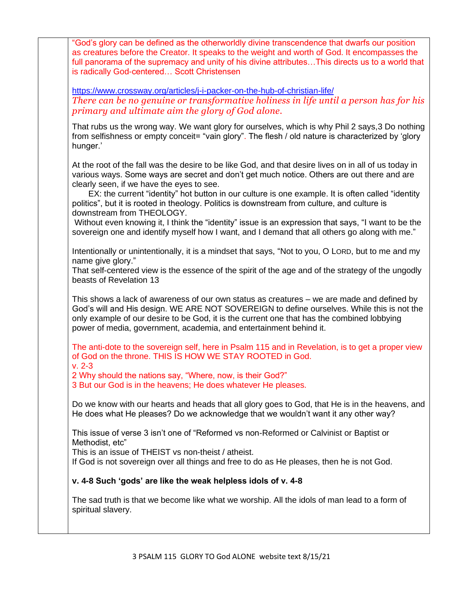"God's glory can be defined as the otherworldly divine transcendence that dwarfs our position as creatures before the Creator. It speaks to the weight and worth of God. It encompasses the full panorama of the supremacy and unity of his divine attributes…This directs us to a world that is radically God-centered… Scott Christensen

<https://www.crossway.org/articles/j-i-packer-on-the-hub-of-christian-life/> *There can be no genuine or transformative holiness in life until a person has for his primary and ultimate aim the glory of God alone.*

That rubs us the wrong way. We want glory for ourselves, which is why Phil 2 says,3 Do nothing from selfishness or empty conceit= "vain glory". The flesh / old nature is characterized by 'glory hunger.'

At the root of the fall was the desire to be like God, and that desire lives on in all of us today in various ways. Some ways are secret and don't get much notice. Others are out there and are clearly seen, if we have the eyes to see.

 EX: the current "identity" hot button in our culture is one example. It is often called "identity politics", but it is rooted in theology. Politics is downstream from culture, and culture is downstream from THEOLOGY.

Without even knowing it, I think the "identity" issue is an expression that says, "I want to be the sovereign one and identify myself how I want, and I demand that all others go along with me."

Intentionally or unintentionally, it is a mindset that says, "Not to you, O LORD, but to me and my name give glory."

That self-centered view is the essence of the spirit of the age and of the strategy of the ungodly beasts of Revelation 13

This shows a lack of awareness of our own status as creatures – we are made and defined by God's will and His design. WE ARE NOT SOVEREIGN to define ourselves. While this is not the only example of our desire to be God, it is the current one that has the combined lobbying power of media, government, academia, and entertainment behind it.

The anti-dote to the sovereign self, here in Psalm 115 and in Revelation, is to get a proper view of God on the throne. THIS IS HOW WE STAY ROOTED in God. v. 2-3

2 Why should the nations say, "Where, now, is their God?"

3 But our God is in the heavens; He does whatever He pleases.

Do we know with our hearts and heads that all glory goes to God, that He is in the heavens, and He does what He pleases? Do we acknowledge that we wouldn't want it any other way?

This issue of verse 3 isn't one of "Reformed vs non-Reformed or Calvinist or Baptist or Methodist etc"

This is an issue of THEIST vs non-theist / atheist.

If God is not sovereign over all things and free to do as He pleases, then he is not God.

## **v. 4-8 Such 'gods' are like the weak helpless idols of v. 4-8**

The sad truth is that we become like what we worship. All the idols of man lead to a form of spiritual slavery.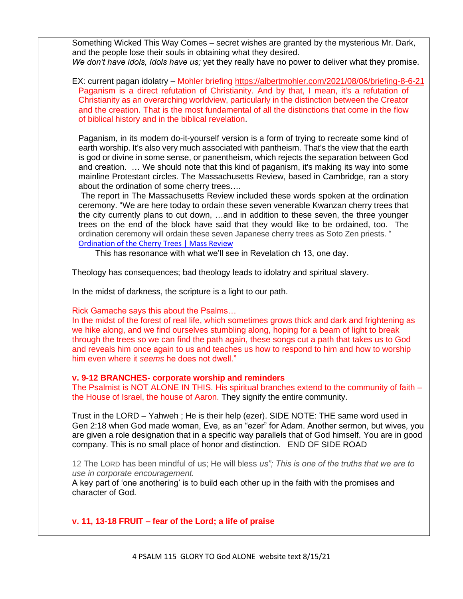Something Wicked This Way Comes – secret wishes are granted by the mysterious Mr. Dark, and the people lose their souls in obtaining what they desired. *We don't have idols, Idols have us;* yet they really have no power to deliver what they promise.

EX: current pagan idolatry – Mohler briefing<https://albertmohler.com/2021/08/06/briefing-8-6-21> Paganism is a direct refutation of Christianity. And by that, I mean, it's a refutation of Christianity as an overarching worldview, particularly in the distinction between the Creator and the creation. That is the most fundamental of all the distinctions that come in the flow of biblical history and in the biblical revelation.

Paganism, in its modern do-it-yourself version is a form of trying to recreate some kind of earth worship. It's also very much associated with pantheism. That's the view that the earth is god or divine in some sense, or panentheism, which rejects the separation between God and creation. … We should note that this kind of paganism, it's making its way into some mainline Protestant circles. The Massachusetts Review, based in Cambridge, ran a story about the ordination of some cherry trees….

The report in The Massachusetts Review included these words spoken at the ordination ceremony. "We are here today to ordain these seven venerable Kwanzan cherry trees that the city currently plans to cut down, …and in addition to these seven, the three younger trees on the end of the block have said that they would like to be ordained, too. The ordination ceremony will ordain these seven Japanese cherry trees as Soto Zen priests. " [Ordination of the Cherry Trees | Mass Review](https://www.massreview.org/node/9862)

This has resonance with what we'll see in Revelation ch 13, one day.

Theology has consequences; bad theology leads to idolatry and spiritual slavery.

In the midst of darkness, the scripture is a light to our path.

Rick Gamache says this about the Psalms…

In the midst of the forest of real life, which sometimes grows thick and dark and frightening as we hike along, and we find ourselves stumbling along, hoping for a beam of light to break through the trees so we can find the path again, these songs cut a path that takes us to God and reveals him once again to us and teaches us how to respond to him and how to worship him even where it *seems* he does not dwell."

## **v. 9-12 BRANCHES- corporate worship and reminders**

The Psalmist is NOT ALONE IN THIS. His spiritual branches extend to the community of faith – the House of Israel, the house of Aaron. They signify the entire community.

Trust in the LORD – Yahweh ; He is their help (ezer). SIDE NOTE: THE same word used in Gen 2:18 when God made woman, Eve, as an "ezer" for Adam. Another sermon, but wives, you are given a role designation that in a specific way parallels that of God himself. You are in good company. This is no small place of honor and distinction. END OF SIDE ROAD

12 The LORD has been mindful of us; He will bless *us"; This is one of the truths that we are to use in corporate encouragement.* 

A key part of 'one anothering' is to build each other up in the faith with the promises and character of God.

**v. 11, 13-18 FRUIT – fear of the Lord; a life of praise**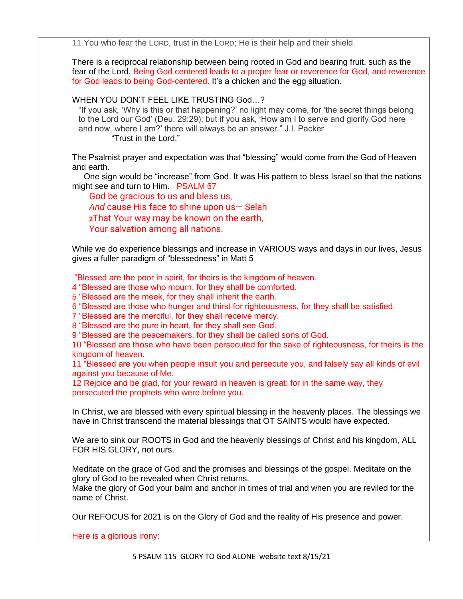11 You who fear the LORD, trust in the LORD; He is their help and their shield.

There is a reciprocal relationship between being rooted in God and bearing fruit, such as the fear of the Lord. Being God centered leads to a proper fear or reverence for God, and reverence for God leads to being God-centered. It's a chicken and the egg situation.

WHEN YOU DON'T FEEL LIKE TRUSTING God…?

"If you ask, 'Why is this or that happening?' no light may come, for 'the secret things belong to the Lord our God' (Deu. 29:29); but if you ask, 'How am I to serve and glorify God here and now, where I am?' there will always be an answer." J.I. Packer "Trust in the Lord."

The Psalmist prayer and expectation was that "blessing" would come from the God of Heaven and earth.

 One sign would be "increase" from God. It was His pattern to bless Israel so that the nations might see and turn to Him. PSALM 67

God be gracious to us and bless us, *And* cause His face to shine upon us— Selah **[2](https://biblehub.com/psalms/67-2.htm)**That Your way may be known on the earth, Your salvation among all nations.

While we do experience blessings and increase in VARIOUS ways and days in our lives, Jesus gives a fuller paradigm of "blessedness" in Matt 5

"Blessed are the poor in spirit, for theirs is the kingdom of heaven.

4 "Blessed are those who mourn, for they shall be comforted.

5 "Blessed are the meek, for they shall inherit the earth.

6 "Blessed are those who hunger and thirst for righteousness, for they shall be satisfied.

7 "Blessed are the merciful, for they shall receive mercy.

8 "Blessed are the pure in heart, for they shall see God.

9 "Blessed are the peacemakers, for they shall be called sons of God.

10 "Blessed are those who have been persecuted for the sake of righteousness, for theirs is the kingdom of heaven.

11 "Blessed are you when people insult you and persecute you, and falsely say all kinds of evil against you because of Me.

12 Rejoice and be glad, for your reward in heaven is great; for in the same way, they persecuted the prophets who were before you.

In Christ, we are blessed with every spiritual blessing in the heavenly places. The blessings we have in Christ transcend the material blessings that OT SAINTS would have expected.

We are to sink our ROOTS in God and the heavenly blessings of Christ and his kingdom, ALL FOR HIS GLORY, not ours.

Meditate on the grace of God and the promises and blessings of the gospel. Meditate on the glory of God to be revealed when Christ returns.

Make the glory of God your balm and anchor in times of trial and when you are reviled for the name of Christ.

Our REFOCUS for 2021 is on the Glory of God and the reality of His presence and power.

Here is a glorious irony: